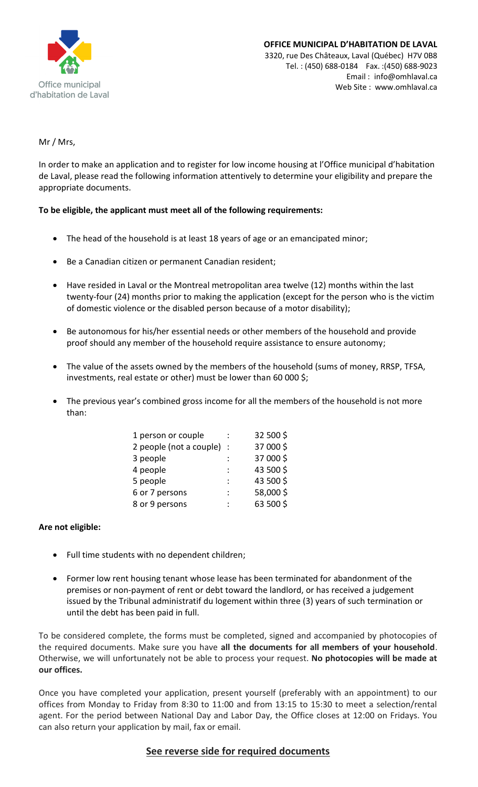

#### **OFFICE MUNICIPAL D'HABITATION DE LAVAL** 3320, rue Des Châteaux, Laval (Québec) H7V 0B8 Tel. : (450) 688-0184 Fax. :(450) 688-9023 Email : [info@omhlaval.ca](mailto:info@omhlaval.ca) Web Site : www.omhlaval.ca

Mr / Mrs,

In order to make an application and to register for low income housing at l'Office municipal d'habitation de Laval, please read the following information attentively to determine your eligibility and prepare the appropriate documents.

## **To be eligible, the applicant must meet all of the following requirements:**

- The head of the household is at least 18 years of age or an emancipated minor;
- Be a Canadian citizen or permanent Canadian resident;
- Have resided in Laval or the Montreal metropolitan area twelve (12) months within the last twenty-four (24) months prior to making the application (except for the person who is the victim of domestic violence or the disabled person because of a motor disability);
- Be autonomous for his/her essential needs or other members of the household and provide proof should any member of the household require assistance to ensure autonomy;
- The value of the assets owned by the members of the household (sums of money, RRSP, TFSA, investments, real estate or other) must be lower than 60 000 \$;
- The previous year's combined gross income for all the members of the household is not more than:

| 1 person or couple        |   | 32 500 \$ |
|---------------------------|---|-----------|
| 2 people (not a couple) : |   | 37 000 \$ |
| 3 people                  |   | 37 000 \$ |
| 4 people                  |   | 43 500 \$ |
| 5 people                  | ÷ | 43 500 \$ |
| 6 or 7 persons            |   | 58,000\$  |
| 8 or 9 persons            |   | 63 500 \$ |

## **Are not eligible:**

- Full time students with no dependent children;
- Former low rent housing tenant whose lease has been terminated for abandonment of the premises or non-payment of rent or debt toward the landlord, or has received a judgement issued by the Tribunal administratif du logement within three (3) years of such termination or until the debt has been paid in full.

To be considered complete, the forms must be completed, signed and accompanied by photocopies of the required documents. Make sure you have **all the documents for all members of your household**. Otherwise, we will unfortunately not be able to process your request. **No photocopies will be made at our offices.**

Once you have completed your application, present yourself (preferably with an appointment) to our offices from Monday to Friday from 8:30 to 11:00 and from 13:15 to 15:30 to meet a selection/rental agent. For the period between National Day and Labor Day, the Office closes at 12:00 on Fridays. You can also return your application by mail, fax or email.

# **See reverse side for required documents**